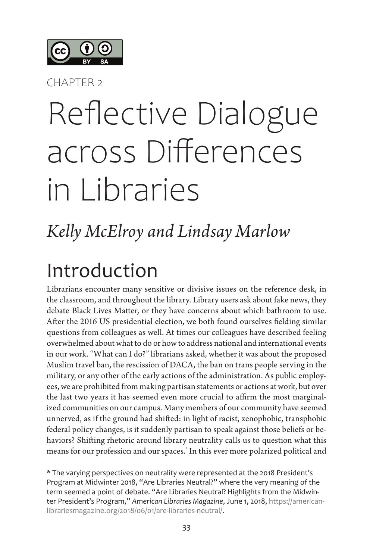

CHAPTER 2

# Reflective Dialogue across Differences in Libraries

### *Kelly McElroy and Lindsay Marlow*

# Introduction

Librarians encounter many sensitive or divisive issues on the reference desk, in the classroom, and throughout the library. Library users ask about fake news, they debate Black Lives Matter, or they have concerns about which bathroom to use. After the 2016 US presidential election, we both found ourselves fielding similar questions from colleagues as well. At times our colleagues have described feeling overwhelmed about what to do or how to address national and international events in our work. "What can I do?" librarians asked, whether it was about the proposed Muslim travel ban, the rescission of DACA, the ban on trans people serving in the military, or any other of the early actions of the administration. As public employees, we are prohibited from making partisan statements or actions at work, but over the last two years it has seemed even more crucial to affirm the most marginalized communities on our campus. Many members of our community have seemed unnerved, as if the ground had shifted: in light of racist, xenophobic, transphobic federal policy changes, is it suddenly partisan to speak against those beliefs or behaviors? Shifting rhetoric around library neutrality calls us to question what this means for our profession and our spaces.\* In this ever more polarized political and

<sup>\*</sup> The varying perspectives on neutrality were represented at the 2018 President's Program at Midwinter 2018, "Are Libraries Neutral?" where the very meaning of the term seemed a point of debate. "Are Libraries Neutral? Highlights from the Midwinter President's Program," *American Libraries Magazine*, June 1, 2018[,](https://americanlibrariesmagazine.org/2018/06/01/are-libraries-neutral/) [https://american](https://americanlibrariesmagazine.org/2018/06/01/are-libraries-neutral/)[librariesmagazine.org/2018/06/01/are-libraries-neutral/](https://americanlibrariesmagazine.org/2018/06/01/are-libraries-neutral/).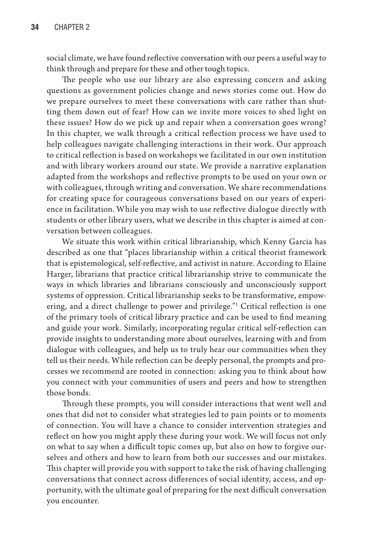social climate, we have found reflective conversation with our peers a useful way to think through and prepare for these and other tough topics.

The people who use our library are also expressing concern and asking questions as government policies change and news stories come out. How do we prepare ourselves to meet these conversations with care rather than shutting them down out of fear? How can we invite more voices to shed light on these issues? How do we pick up and repair when a conversation goes wrong? In this chapter, we walk through a critical reflection process we have used to help colleagues navigate challenging interactions in their work. Our approach to critical reflection is based on workshops we facilitated in our own institution and with library workers around our state. We provide a narrative explanation adapted from the workshops and reflective prompts to be used on your own or with colleagues, through writing and conversation. We share recommendations for creating space for courageous conversations based on our years of experience in facilitation. While you may wish to use reflective dialogue directly with students or other library users, what we describe in this chapter is aimed at conversation between colleagues.

We situate this work within critical librarianship, which Kenny Garcia has described as one that "places librarianship within a critical theorist framework that is epistemological, self-reflective, and activist in nature. According to Elaine Harger, librarians that practice critical librarianship strive to communicate the ways in which libraries and librarians consciously and unconsciously support systems of oppression. Critical librarianship seeks to be transformative, empowering, and a direct challenge to power and privilege."<sup>1</sup> Critical reflection is one of the primary tools of critical library practice and can be used to find meaning and guide your work. Similarly, incorporating regular critical self-reflection can provide insights to understanding more about ourselves, learning with and from dialogue with colleagues, and help us to truly hear our communities when they tell us their needs. While reflection can be deeply personal, the prompts and processes we recommend are rooted in connection: asking you to think about how you connect with your communities of users and peers and how to strengthen those bonds.

Through these prompts, you will consider interactions that went well and ones that did not to consider what strategies led to pain points or to moments of connection. You will have a chance to consider intervention strategies and reflect on how you might apply these during your work. We will focus not only on what to say when a difficult topic comes up, but also on how to forgive ourselves and others and how to learn from both our successes and our mistakes. This chapter will provide you with support to take the risk of having challenging conversations that connect across differences of social identity, access, and opportunity, with the ultimate goal of preparing for the next difficult conversation you encounter.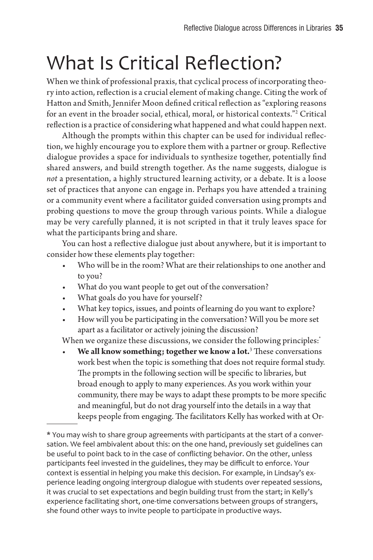# What Is Critical Reflection?

When we think of professional praxis, that cyclical process of incorporating theory into action, reflection is a crucial element of making change. Citing the work of Hatton and Smith, Jennifer Moon defined critical reflection as "exploring reasons for an event in the broader social, ethical, moral, or historical contexts."2 Critical reflection is a practice of considering what happened and what could happen next.

Although the prompts within this chapter can be used for individual reflection, we highly encourage you to explore them with a partner or group. Reflective dialogue provides a space for individuals to synthesize together, potentially find shared answers, and build strength together. As the name suggests, dialogue is *not* a presentation, a highly structured learning activity, or a debate. It is a loose set of practices that anyone can engage in. Perhaps you have attended a training or a community event where a facilitator guided conversation using prompts and probing questions to move the group through various points. While a dialogue may be very carefully planned, it is not scripted in that it truly leaves space for what the participants bring and share.

You can host a reflective dialogue just about anywhere, but it is important to consider how these elements play together:

- Who will be in the room? What are their relationships to one another and to you?
- What do you want people to get out of the conversation?
- What goals do you have for yourself?
- What key topics, issues, and points of learning do you want to explore?
- How will you be participating in the conversation? Will you be more set apart as a facilitator or actively joining the discussion?

When we organize these discussions, we consider the following principles:

• **We all know something; together we know a lot.**<sup>3</sup> These conversations work best when the topic is something that does not require formal study. The prompts in the following section will be specific to libraries, but broad enough to apply to many experiences. As you work within your community, there may be ways to adapt these prompts to be more specific and meaningful, but do not drag yourself into the details in a way that keeps people from engaging. The facilitators Kelly has worked with at Or-

<sup>\*</sup> You may wish to share group agreements with participants at the start of a conversation. We feel ambivalent about this: on the one hand, previously set guidelines can be useful to point back to in the case of conflicting behavior. On the other, unless participants feel invested in the guidelines, they may be difficult to enforce. Your context is essential in helping you make this decision. For example, in Lindsay's experience leading ongoing intergroup dialogue with students over repeated sessions, it was crucial to set expectations and begin building trust from the start; in Kelly's experience facilitating short, one-time conversations between groups of strangers, she found other ways to invite people to participate in productive ways.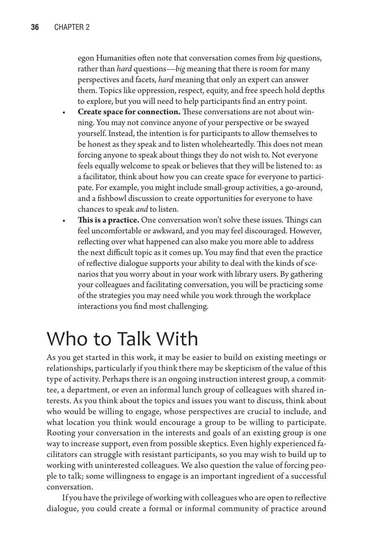egon Humanities often note that conversation comes from *big* questions, rather than *hard* questions—*big* meaning that there is room for many perspectives and facets, *hard* meaning that only an expert can answer them. Topics like oppression, respect, equity, and free speech hold depths to explore, but you will need to help participants find an entry point.

- **Create space for connection.** These conversations are not about winning. You may not convince anyone of your perspective or be swayed yourself. Instead, the intention is for participants to allow themselves to be honest as they speak and to listen wholeheartedly. This does not mean forcing anyone to speak about things they do not wish to. Not everyone feels equally welcome to speak or believes that they will be listened to: as a facilitator, think about how you can create space for everyone to participate. For example, you might include small-group activities, a go-around, and a fishbowl discussion to create opportunities for everyone to have chances to speak *and* to listen.
- This is a practice. One conversation won't solve these issues. Things can feel uncomfortable or awkward, and you may feel discouraged. However, reflecting over what happened can also make you more able to address the next difficult topic as it comes up. You may find that even the practice of reflective dialogue supports your ability to deal with the kinds of scenarios that you worry about in your work with library users. By gathering your colleagues and facilitating conversation, you will be practicing some of the strategies you may need while you work through the workplace interactions you find most challenging.

### Who to Talk With

As you get started in this work, it may be easier to build on existing meetings or relationships, particularly if you think there may be skepticism of the value of this type of activity. Perhaps there is an ongoing instruction interest group, a committee, a department, or even an informal lunch group of colleagues with shared interests. As you think about the topics and issues you want to discuss, think about who would be willing to engage, whose perspectives are crucial to include, and what location you think would encourage a group to be willing to participate. Rooting your conversation in the interests and goals of an existing group is one way to increase support, even from possible skeptics. Even highly experienced facilitators can struggle with resistant participants, so you may wish to build up to working with uninterested colleagues. We also question the value of forcing people to talk; some willingness to engage is an important ingredient of a successful conversation.

If you have the privilege of working with colleagues who are open to reflective dialogue, you could create a formal or informal community of practice around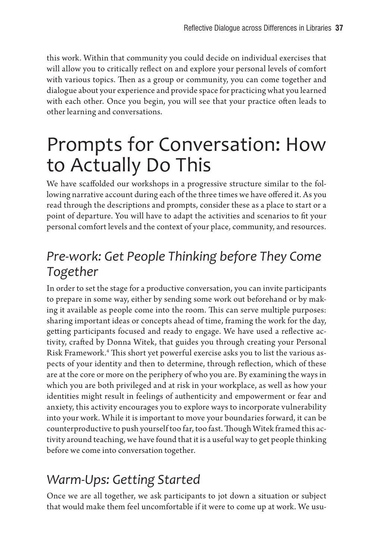this work. Within that community you could decide on individual exercises that will allow you to critically reflect on and explore your personal levels of comfort with various topics. Then as a group or community, you can come together and dialogue about your experience and provide space for practicing what you learned with each other. Once you begin, you will see that your practice often leads to other learning and conversations.

## Prompts for Conversation: How to Actually Do This

We have scaffolded our workshops in a progressive structure similar to the following narrative account during each of the three times we have offered it. As you read through the descriptions and prompts, consider these as a place to start or a point of departure. You will have to adapt the activities and scenarios to fit your personal comfort levels and the context of your place, community, and resources.

### *Pre-work: Get People Thinking before They Come Together*

In order to set the stage for a productive conversation, you can invite participants to prepare in some way, either by sending some work out beforehand or by making it available as people come into the room. This can serve multiple purposes: sharing important ideas or concepts ahead of time, framing the work for the day, getting participants focused and ready to engage. We have used a reflective activity, crafted by Donna Witek, that guides you through creating your Personal Risk Framework.4 This short yet powerful exercise asks you to list the various aspects of your identity and then to determine, through reflection, which of these are at the core or more on the periphery of who you are. By examining the ways in which you are both privileged and at risk in your workplace, as well as how your identities might result in feelings of authenticity and empowerment or fear and anxiety, this activity encourages you to explore ways to incorporate vulnerability into your work. While it is important to move your boundaries forward, it can be counterproductive to push yourself too far, too fast. Though Witek framed this activity around teaching, we have found that it is a useful way to get people thinking before we come into conversation together.

### *Warm-Ups: Getting Started*

Once we are all together, we ask participants to jot down a situation or subject that would make them feel uncomfortable if it were to come up at work. We usu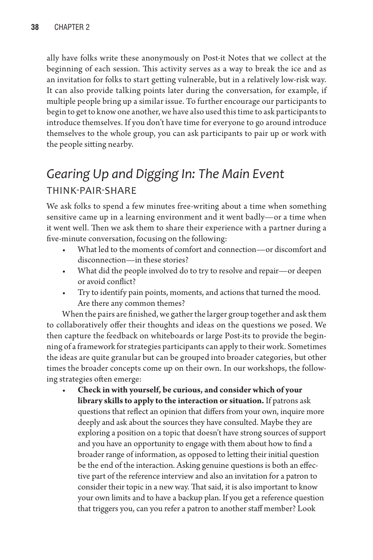ally have folks write these anonymously on Post-it Notes that we collect at the beginning of each session. This activity serves as a way to break the ice and as an invitation for folks to start getting vulnerable, but in a relatively low-risk way. It can also provide talking points later during the conversation, for example, if multiple people bring up a similar issue. To further encourage our participants to begin to get to know one another, we have also used this time to ask participants to introduce themselves. If you don't have time for everyone to go around introduce themselves to the whole group, you can ask participants to pair up or work with the people sitting nearby.

### *Gearing Up and Digging In: The Main Event* THINK-PAIR-SHARE

We ask folks to spend a few minutes free-writing about a time when something sensitive came up in a learning environment and it went badly—or a time when it went well. Then we ask them to share their experience with a partner during a five-minute conversation, focusing on the following:

- What led to the moments of comfort and connection—or discomfort and disconnection—in these stories?
- What did the people involved do to try to resolve and repair—or deepen or avoid conflict?
- Try to identify pain points, moments, and actions that turned the mood. Are there any common themes?

When the pairs are finished, we gather the larger group together and ask them to collaboratively offer their thoughts and ideas on the questions we posed. We then capture the feedback on whiteboards or large Post-its to provide the beginning of a framework for strategies participants can apply to their work. Sometimes the ideas are quite granular but can be grouped into broader categories, but other times the broader concepts come up on their own. In our workshops, the following strategies often emerge:

• **Check in with yourself, be curious, and consider which of your library skills to apply to the interaction or situation.** If patrons ask questions that reflect an opinion that differs from your own, inquire more deeply and ask about the sources they have consulted. Maybe they are exploring a position on a topic that doesn't have strong sources of support and you have an opportunity to engage with them about how to find a broader range of information, as opposed to letting their initial question be the end of the interaction. Asking genuine questions is both an effective part of the reference interview and also an invitation for a patron to consider their topic in a new way. That said, it is also important to know your own limits and to have a backup plan. If you get a reference question that triggers you, can you refer a patron to another staff member? Look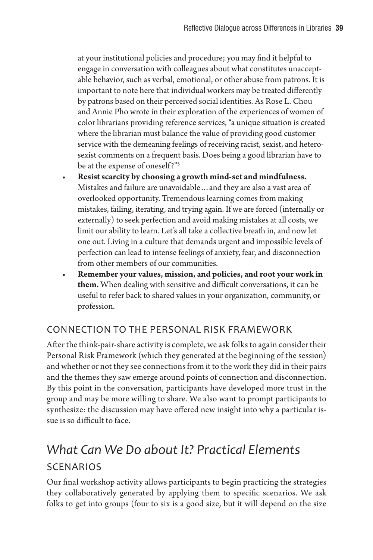at your institutional policies and procedure; you may find it helpful to engage in conversation with colleagues about what constitutes unacceptable behavior, such as verbal, emotional, or other abuse from patrons. It is important to note here that individual workers may be treated differently by patrons based on their perceived social identities. As Rose L. Chou and Annie Pho wrote in their exploration of the experiences of women of color librarians providing reference services, "a unique situation is created where the librarian must balance the value of providing good customer service with the demeaning feelings of receiving racist, sexist, and heterosexist comments on a frequent basis. Does being a good librarian have to be at the expense of oneself?"5

- **Resist scarcity by choosing a growth mind-set and mindfulness.** Mistakes and failure are unavoidable…and they are also a vast area of overlooked opportunity. Tremendous learning comes from making mistakes, failing, iterating, and trying again. If we are forced (internally or externally) to seek perfection and avoid making mistakes at all costs, we limit our ability to learn. Let's all take a collective breath in, and now let one out. Living in a culture that demands urgent and impossible levels of perfection can lead to intense feelings of anxiety, fear, and disconnection from other members of our communities.
- **Remember your values, mission, and policies, and root your work in them.** When dealing with sensitive and difficult conversations, it can be useful to refer back to shared values in your organization, community, or profession.

#### CONNECTION TO THE PERSONAL RISK FRAMEWORK

After the think-pair-share activity is complete, we ask folks to again consider their Personal Risk Framework (which they generated at the beginning of the session) and whether or not they see connections from it to the work they did in their pairs and the themes they saw emerge around points of connection and disconnection. By this point in the conversation, participants have developed more trust in the group and may be more willing to share. We also want to prompt participants to synthesize: the discussion may have offered new insight into why a particular issue is so difficult to face.

### *What Can We Do about It? Practical Elements* SCENARIOS

Our final workshop activity allows participants to begin practicing the strategies they collaboratively generated by applying them to specific scenarios. We ask folks to get into groups (four to six is a good size, but it will depend on the size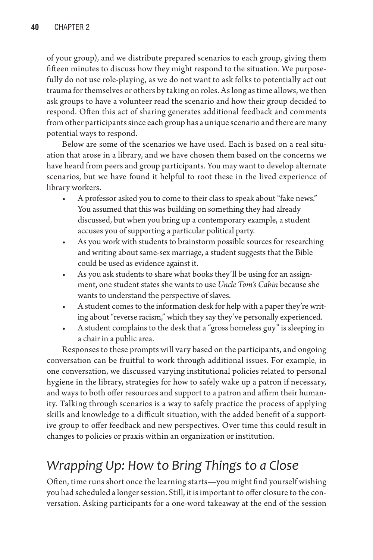of your group), and we distribute prepared scenarios to each group, giving them fifteen minutes to discuss how they might respond to the situation. We purposefully do not use role-playing, as we do not want to ask folks to potentially act out trauma for themselves or others by taking on roles. As long as time allows, we then ask groups to have a volunteer read the scenario and how their group decided to respond. Often this act of sharing generates additional feedback and comments from other participants since each group has a unique scenario and there are many potential ways to respond.

Below are some of the scenarios we have used. Each is based on a real situation that arose in a library, and we have chosen them based on the concerns we have heard from peers and group participants. You may want to develop alternate scenarios, but we have found it helpful to root these in the lived experience of library workers.

- A professor asked you to come to their class to speak about "fake news." You assumed that this was building on something they had already discussed, but when you bring up a contemporary example, a student accuses you of supporting a particular political party.
- As you work with students to brainstorm possible sources for researching and writing about same-sex marriage, a student suggests that the Bible could be used as evidence against it.
- As you ask students to share what books they'll be using for an assignment, one student states she wants to use *Uncle Tom's Cabin* because she wants to understand the perspective of slaves.
- A student comes to the information desk for help with a paper they're writing about "reverse racism," which they say they've personally experienced.
- A student complains to the desk that a "gross homeless guy" is sleeping in a chair in a public area.

Responses to these prompts will vary based on the participants, and ongoing conversation can be fruitful to work through additional issues. For example, in one conversation, we discussed varying institutional policies related to personal hygiene in the library, strategies for how to safely wake up a patron if necessary, and ways to both offer resources and support to a patron and affirm their humanity. Talking through scenarios is a way to safely practice the process of applying skills and knowledge to a difficult situation, with the added benefit of a supportive group to offer feedback and new perspectives. Over time this could result in changes to policies or praxis within an organization or institution.

#### *Wrapping Up: How to Bring Things to a Close*

Often, time runs short once the learning starts—you might find yourself wishing you had scheduled a longer session. Still, it is important to offer closure to the conversation. Asking participants for a one-word takeaway at the end of the session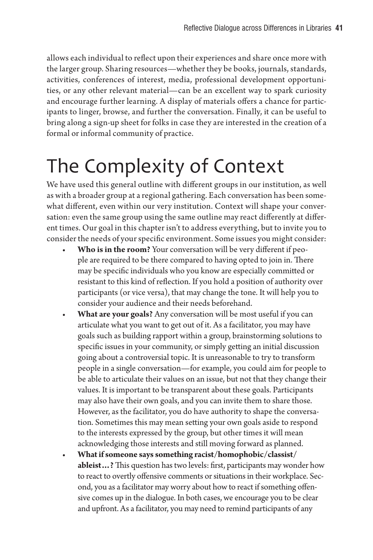allows each individual to reflect upon their experiences and share once more with the larger group. Sharing resources—whether they be books, journals, standards, activities, conferences of interest, media, professional development opportunities, or any other relevant material—can be an excellent way to spark curiosity and encourage further learning. A display of materials offers a chance for participants to linger, browse, and further the conversation. Finally, it can be useful to bring along a sign-up sheet for folks in case they are interested in the creation of a formal or informal community of practice.

# The Complexity of Context

We have used this general outline with different groups in our institution, as well as with a broader group at a regional gathering. Each conversation has been somewhat different, even within our very institution. Context will shape your conversation: even the same group using the same outline may react differently at different times. Our goal in this chapter isn't to address everything, but to invite you to consider the needs of your specific environment. Some issues you might consider:

- **Who is in the room?** Your conversation will be very different if people are required to be there compared to having opted to join in. There may be specific individuals who you know are especially committed or resistant to this kind of reflection. If you hold a position of authority over participants (or vice versa), that may change the tone. It will help you to consider your audience and their needs beforehand.
- **What are your goals?** Any conversation will be most useful if you can articulate what you want to get out of it. As a facilitator, you may have goals such as building rapport within a group, brainstorming solutions to specific issues in your community, or simply getting an initial discussion going about a controversial topic. It is unreasonable to try to transform people in a single conversation—for example, you could aim for people to be able to articulate their values on an issue, but not that they change their values. It is important to be transparent about these goals. Participants may also have their own goals, and you can invite them to share those. However, as the facilitator, you do have authority to shape the conversation. Sometimes this may mean setting your own goals aside to respond to the interests expressed by the group, but other times it will mean acknowledging those interests and still moving forward as planned.
- **What if someone says something racist/homophobic/classist/ ableist…?** This question has two levels: first, participants may wonder how to react to overtly offensive comments or situations in their workplace. Second, you as a facilitator may worry about how to react if something offensive comes up in the dialogue. In both cases, we encourage you to be clear and upfront. As a facilitator, you may need to remind participants of any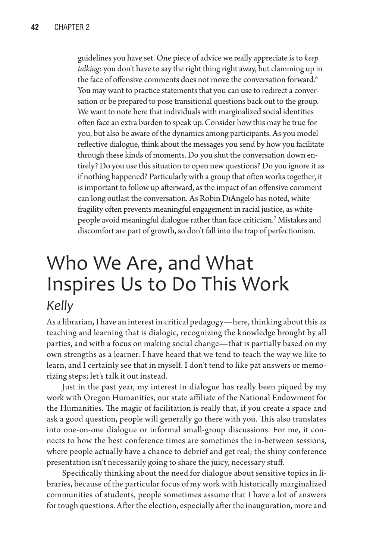guidelines you have set. One piece of advice we really appreciate is to *keep talking*: you don't have to say the right thing right away, but clamming up in the face of offensive comments does not move the conversation forward.<sup>6</sup> You may want to practice statements that you can use to redirect a conversation or be prepared to pose transitional questions back out to the group. We want to note here that individuals with marginalized social identities often face an extra burden to speak up. Consider how this may be true for you, but also be aware of the dynamics among participants. As you model reflective dialogue, think about the messages you send by how you facilitate through these kinds of moments. Do you shut the conversation down entirely? Do you use this situation to open new questions? Do you ignore it as if nothing happened? Particularly with a group that often works together, it is important to follow up afterward, as the impact of an offensive comment can long outlast the conversation. As Robin DiAngelo has noted, white fragility often prevents meaningful engagement in racial justice, as white people avoid meaningful dialogue rather than face criticism.7 Mistakes and discomfort are part of growth, so don't fall into the trap of perfectionism.

### Who We Are, and What Inspires Us to Do This Work *Kelly*

As a librarian, I have an interest in critical pedagogy—here, thinking about this as teaching and learning that is dialogic, recognizing the knowledge brought by all parties, and with a focus on making social change—that is partially based on my own strengths as a learner. I have heard that we tend to teach the way we like to learn, and I certainly see that in myself. I don't tend to like pat answers or memorizing steps; let's talk it out instead.

Just in the past year, my interest in dialogue has really been piqued by my work with Oregon Humanities, our state affiliate of the National Endowment for the Humanities. The magic of facilitation is really that, if you create a space and ask a good question, people will generally go there with you. This also translates into one-on-one dialogue or informal small-group discussions. For me, it connects to how the best conference times are sometimes the in-between sessions, where people actually have a chance to debrief and get real; the shiny conference presentation isn't necessarily going to share the juicy, necessary stuff.

Specifically thinking about the need for dialogue about sensitive topics in libraries, because of the particular focus of my work with historically marginalized communities of students, people sometimes assume that I have a lot of answers for tough questions. After the election, especially after the inauguration, more and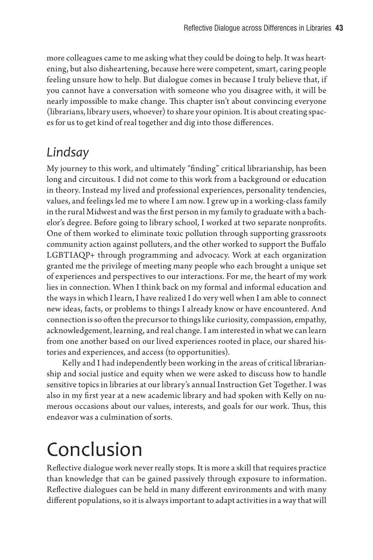more colleagues came to me asking what they could be doing to help. It was heartening, but also disheartening, because here were competent, smart, caring people feeling unsure how to help. But dialogue comes in because I truly believe that, if you cannot have a conversation with someone who you disagree with, it will be nearly impossible to make change. This chapter isn't about convincing everyone (librarians, library users, whoever) to share your opinion. It is about creating spaces for us to get kind of real together and dig into those differences.

#### *Lindsay*

My journey to this work, and ultimately "finding" critical librarianship, has been long and circuitous. I did not come to this work from a background or education in theory. Instead my lived and professional experiences, personality tendencies, values, and feelings led me to where I am now. I grew up in a working-class family in the rural Midwest and was the first person in my family to graduate with a bachelor's degree. Before going to library school, I worked at two separate nonprofits. One of them worked to eliminate toxic pollution through supporting grassroots community action against polluters, and the other worked to support the Buffalo LGBTIAQP+ through programming and advocacy. Work at each organization granted me the privilege of meeting many people who each brought a unique set of experiences and perspectives to our interactions. For me, the heart of my work lies in connection. When I think back on my formal and informal education and the ways in which I learn, I have realized I do very well when I am able to connect new ideas, facts, or problems to things I already know or have encountered. And connection is so often the precursor to things like curiosity, compassion, empathy, acknowledgement, learning, and real change. I am interested in what we can learn from one another based on our lived experiences rooted in place, our shared histories and experiences, and access (to opportunities).

Kelly and I had independently been working in the areas of critical librarianship and social justice and equity when we were asked to discuss how to handle sensitive topics in libraries at our library's annual Instruction Get Together. I was also in my first year at a new academic library and had spoken with Kelly on numerous occasions about our values, interests, and goals for our work. Thus, this endeavor was a culmination of sorts.

### Conclusion

Reflective dialogue work never really stops. It is more a skill that requires practice than knowledge that can be gained passively through exposure to information. Reflective dialogues can be held in many different environments and with many different populations, so it is always important to adapt activities in a way that will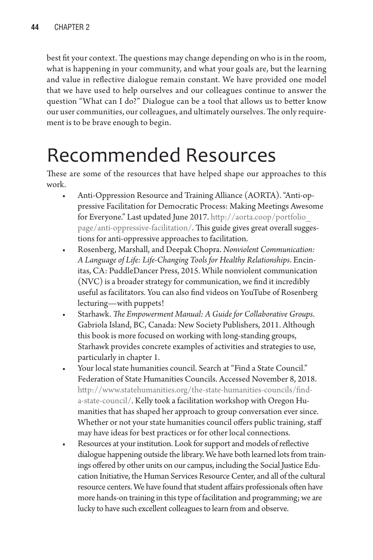best fit your context. The questions may change depending on who is in the room, what is happening in your community, and what your goals are, but the learning and value in reflective dialogue remain constant. We have provided one model that we have used to help ourselves and our colleagues continue to answer the question "What can I do?" Dialogue can be a tool that allows us to better know our user communities, our colleagues, and ultimately ourselves. The only requirement is to be brave enough to begin.

### Recommended Resources

These are some of the resources that have helped shape our approaches to this work.

- Anti-Oppression Resource and Training Alliance (AORTA). "Anti-oppressive Facilitation for Democratic Process: Making Meetings Awesome for Everyone." Last updated June 2017. [http://aorta.coop/portfolio\\_](http://aorta.coop/portfolio_page/anti-oppressive-facilitation/) [page/anti-oppressive-facilitation/](http://aorta.coop/portfolio_page/anti-oppressive-facilitation/). This guide gives great overall suggestions for anti-oppressive approaches to facilitation.
- Rosenberg, Marshall, and Deepak Chopra. *Nonviolent Communication: A Language of Life: Life-Changing Tools for Healthy Relationships*. Encinitas, CA: PuddleDancer Press, 2015. While nonviolent communication (NVC) is a broader strategy for communication, we find it incredibly useful as facilitators. You can also find videos on YouTube of Rosenberg lecturing—with puppets!
- Starhawk. *The Empowerment Manual: A Guide for Collaborative Groups*. Gabriola Island, BC, Canada: New Society Publishers, 2011. Although this book is more focused on working with long-standing groups, Starhawk provides concrete examples of activities and strategies to use, particularly in chapter 1.
- Your local state humanities council. Search at "Find a State Council." Federation of State Humanities Councils. Accessed November 8, 2018. [http://www.statehumanities.org/the-state-humanities-councils/find](http://www.statehumanities.org/the-state-humanities-councils/find-a-state-council/)[a-state-council/](http://www.statehumanities.org/the-state-humanities-councils/find-a-state-council/). Kelly took a facilitation workshop with Oregon Humanities that has shaped her approach to group conversation ever since. Whether or not your state humanities council offers public training, staff may have ideas for best practices or for other local connections.
- Resources at your institution. Look for support and models of reflective dialogue happening outside the library. We have both learned lots from trainings offered by other units on our campus, including the Social Justice Education Initiative, the Human Services Resource Center, and all of the cultural resource centers. We have found that student affairs professionals often have more hands-on training in this type of facilitation and programming; we are lucky to have such excellent colleagues to learn from and observe.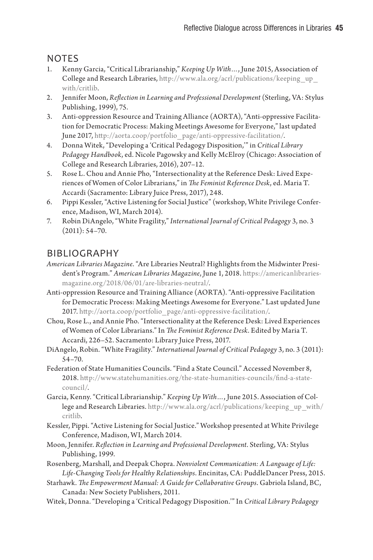#### NOTES

- 1. Kenny Garcia, "Critical Librarianship," *Keeping Up With…*, June 2015, Association of College and Research Libraries, [http://www.ala.org/acrl/publications/keeping\\_up\\_](http://www.ala.org/acrl/publications/keeping_up_with/critlib) [with/critlib.](http://www.ala.org/acrl/publications/keeping_up_with/critlib)
- 2. Jennifer Moon, *Reflection in Learning and Professional Development* (Sterling, VA: Stylus Publishing, 1999), 75.
- 3. Anti-oppression Resource and Training Alliance (AORTA), "Anti-oppressive Facilitation for Democratic Process: Making Meetings Awesome for Everyone," last updated June 2017, [http://aorta.coop/portfolio\\_page/anti-oppressive-facilitation/](http://aorta.coop/portfolio_page/anti-oppressive-facilitation/).
- 4. Donna Witek, "Developing a 'Critical Pedagogy Disposition,'" in *Critical Library Pedagogy Handbook*, ed. Nicole Pagowsky and Kelly McElroy (Chicago: Association of College and Research Libraries, 2016), 207–12*.*
- 5. Rose L. Chou and Annie Pho, "Intersectionality at the Reference Desk: Lived Experiences of Women of Color Librarians," in *The Feminist Reference Desk*, ed. Maria T. Accardi (Sacramento: Library Juice Press, 2017), 248.
- 6. Pippi Kessler, "Active Listening for Social Justice" (workshop, White Privilege Conference, Madison, WI, March 2014).
- 7. Robin DiAngelo, "White Fragility," *International Journal of Critical Pedagogy* 3, no. 3 (2011): 54–70.

#### BIBLIOGRAPHY

- *American Libraries Magazine*. "Are Libraries Neutral? Highlights from the Midwinter President's Program." *American Libraries Magazine*, June 1, 2018. [https://americanlibraries](https://americanlibrariesmagazine.org/2018/06/01/are-libraries-neutral/)[magazine.org/2018/06/01/are-libraries-neutral/.](https://americanlibrariesmagazine.org/2018/06/01/are-libraries-neutral/)
- Anti-oppression Resource and Training Alliance (AORTA). "Anti-oppressive Facilitation for Democratic Process: Making Meetings Awesome for Everyone." Last updated June 2017. [http://aorta.coop/portfolio\\_page/anti-oppressive-facilitation/.](http://aorta.coop/portfolio_page/anti-oppressive-facilitation/)
- Chou, Rose L., and Annie Pho. "Intersectionality at the Reference Desk: Lived Experiences of Women of Color Librarians." In *The Feminist Reference Desk*. Edited by Maria T. Accardi, 226–52. Sacramento: Library Juice Press, 2017.
- DiAngelo, Robin. "White Fragility." *International Journal of Critical Pedagogy* 3, no. 3 (2011): 54–70.
- Federation of State Humanities Councils. "Find a State Council." Accessed November 8, 2018. [http://www.statehumanities.org/the-state-humanities-councils/find-a-state](http://www.statehumanities.org/the-state-humanities-councils/find-a-state-council/)[council/](http://www.statehumanities.org/the-state-humanities-councils/find-a-state-council/).
- Garcia, Kenny. "Critical Librarianship." *Keeping Up With…*, June 2015. Association of College and Research Libraries. [http://www.ala.org/acrl/publications/keeping\\_up\\_with/](http://www.ala.org/acrl/publications/keeping_up_with/critlib) [critlib](http://www.ala.org/acrl/publications/keeping_up_with/critlib).
- Kessler, Pippi. "Active Listening for Social Justice." Workshop presented at White Privilege Conference, Madison, WI, March 2014.
- Moon, Jennifer. *Reflection in Learning and Professional Development*. Sterling, VA: Stylus Publishing, 1999.
- Rosenberg, Marshall, and Deepak Chopra. *Nonviolent Communication: A Language of Life: Life-Changing Tools for Healthy Relationships*. Encinitas, CA: PuddleDancer Press, 2015.
- Starhawk. *The Empowerment Manual: A Guide for Collaborative Groups*. Gabriola Island, BC, Canada: New Society Publishers, 2011.
- Witek, Donna. "Developing a 'Critical Pedagogy Disposition.'" In *Critical Library Pedagogy*